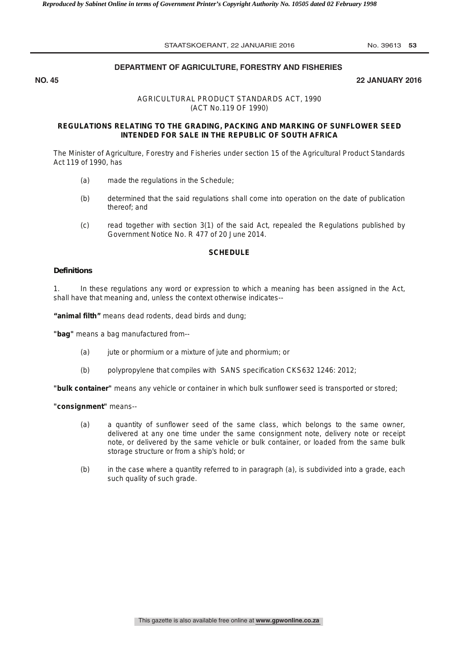# **DEPARTMENT OF AGRICULTURE, FORESTRY AND FISHERIES**

**NO. 45 22 JANUARY 2016**

# AGRICULTURAL PRODUCT STANDARDS ACT, 1990 (ACT No.119 OF 1990)

# **REGULATIONS RELATING TO THE GRADING, PACKING AND MARKING OF SUNFLOWER SEED INTENDED FOR SALE IN THE REPUBLIC OF SOUTH AFRICA**

The Minister of Agriculture, Forestry and Fisheries under section 15 of the Agricultural Product Standards Act 119 of 1990, has

- (a) made the regulations in the Schedule;
- (b) determined that the said regulations shall come into operation on the date of publication thereof; and
- (c) read together with section 3(1) of the said Act, repealed the Regulations published by Government Notice No. R 477 of 20 June 2014.

# **SCHEDULE**

# *Definitions*

1. In these regulations any word or expression to which a meaning has been assigned in the Act, shall have that meaning and, unless the context otherwise indicates--

**"animal filth"** means dead rodents, dead birds and dung;

**"bag"** means a bag manufactured from--

- (a) jute or phormium or a mixture of jute and phormium; or
- (b) polypropylene that compiles with SANS specification CKS632 1246: 2012;

**"bulk container"** means any vehicle or container in which bulk sunflower seed is transported or stored;

**"consignment"** means--

- (a) a quantity of sunflower seed of the same class, which belongs to the same owner, delivered at any one time under the same consignment note, delivery note or receipt note, or delivered by the same vehicle or bulk container, or loaded from the same bulk storage structure or from a ship's hold; or
- (b) in the case where a quantity referred to in paragraph (a), is subdivided into a grade, each such quality of such grade.

This gazette is also available free online at **www.gpwonline.co.za**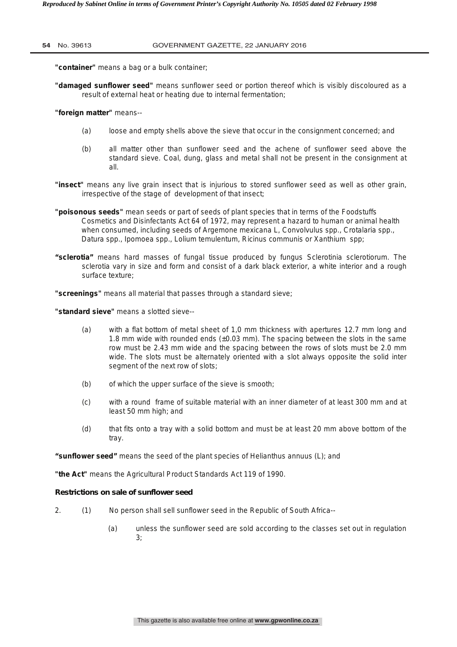### **54** No. 39613 GOVERNMENT GAZETTE, 22 JANUARY 2016

**"container"** means a bag or a bulk container;

**"damaged sunflower seed"** means sunflower seed or portion thereof which is visibly discoloured as a result of external heat or heating due to internal fermentation;

## **"foreign matter"** means--

- (a) loose and empty shells above the sieve that occur in the consignment concerned; and
- (b) all matter other than sunflower seed and the achene of sunflower seed above the standard sieve. Coal, dung, glass and metal shall not be present in the consignment at all.
- **"insect"** means any live grain insect that is injurious to stored sunflower seed as well as other grain, irrespective of the stage of development of that insect;
- **"poisonous seeds"** mean seeds or part of seeds of plant species that in terms of the Foodstuffs Cosmetics and Disinfectants Act 64 of 1972, may represent a hazard to human or animal health when consumed, including seeds of *Argemone mexicana L, Convolvulus spp., Crotalaria spp., Datura spp., Ipomoea spp., Lolium temulentum, Ricinus communis or Xanthium spp;*
- **"sclerotia"** means hard masses of fungal tissue produced by fungus *Sclerotinia sclerotioru*m. The sclerotia vary in size and form and consist of a dark black exterior, a white interior and a rough surface texture;

**"screenings"** means all material that passes through a standard sieve;

**"standard sieve"** means a slotted sieve--

- (a) with a flat bottom of metal sheet of 1,0 mm thickness with apertures 12.7 mm long and 1.8 mm wide with rounded ends  $(\pm 0.03 \text{ mm})$ . The spacing between the slots in the same row must be 2.43 mm wide and the spacing between the rows of slots must be 2.0 mm wide. The slots must be alternately oriented with a slot always opposite the solid inter segment of the next row of slots;
- (b) of which the upper surface of the sieve is smooth;
- (c) with a round frame of suitable material with an inner diameter of at least 300 mm and at least 50 mm high; and
- (d) that fits onto a tray with a solid bottom and must be at least 20 mm above bottom of the tray.

**"sunflower seed"** means the seed of the plant species of *Helianthus annuus (L); and* 

**"the Act"** means the Agricultural Product Standards Act 119 of 1990.

## *Restrictions on sale of sunflower seed*

- 2. (1) No person shall sell sunflower seed in the Republic of South Africa--
	- (a) unless the sunflower seed are sold according to the classes set out in regulation 3;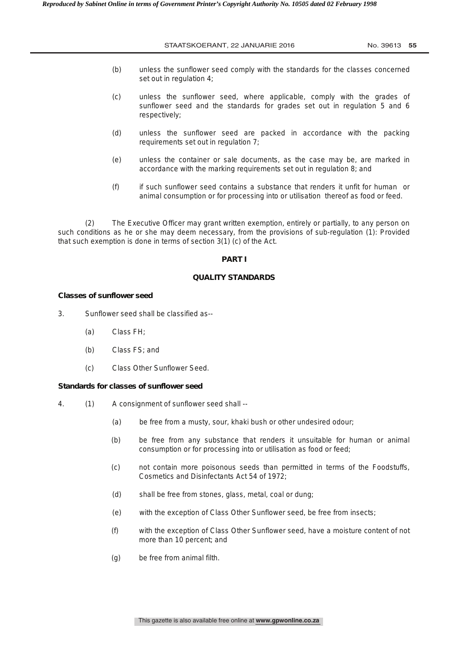- (b) unless the sunflower seed comply with the standards for the classes concerned set out in regulation 4;
- (c) unless the sunflower seed, where applicable, comply with the grades of sunflower seed and the standards for grades set out in regulation 5 and 6 respectively;
- (d) unless the sunflower seed are packed in accordance with the packing requirements set out in regulation 7;
- (e) unless the container or sale documents, as the case may be, are marked in accordance with the marking requirements set out in regulation 8; and
- (f) if such sunflower seed contains a substance that renders it unfit for human or animal consumption or for processing into or utilisation thereof as food or feed.

(2) The Executive Officer may grant written exemption, entirely or partially, to any person on such conditions as he or she may deem necessary, from the provisions of sub-regulation (1): Provided that such exemption is done in terms of section 3(1) (c) of the Act.

## **PART I**

## **QUALITY STANDARDS**

## *Classes of sunflower seed*

3. Sunflower seed shall be classified as--

- (a) Class FH;
- (b) Class FS; and
- (c) Class Other Sunflower Seed.

## *Standards for classes of sunflower seed*

- 4. (1) A consignment of sunflower seed shall --
	- (a) be free from a musty, sour, khaki bush or other undesired odour;
	- (b) be free from any substance that renders it unsuitable for human or animal consumption or for processing into or utilisation as food or feed;
	- (c) not contain more poisonous seeds than permitted in terms of the Foodstuffs, Cosmetics and Disinfectants Act 54 of 1972;
	- (d) shall be free from stones, glass, metal, coal or dung;
	- (e) with the exception of Class Other Sunflower seed, be free from insects;
	- (f) with the exception of Class Other Sunflower seed, have a moisture content of not more than 10 percent; and
	- (g) be free from animal filth.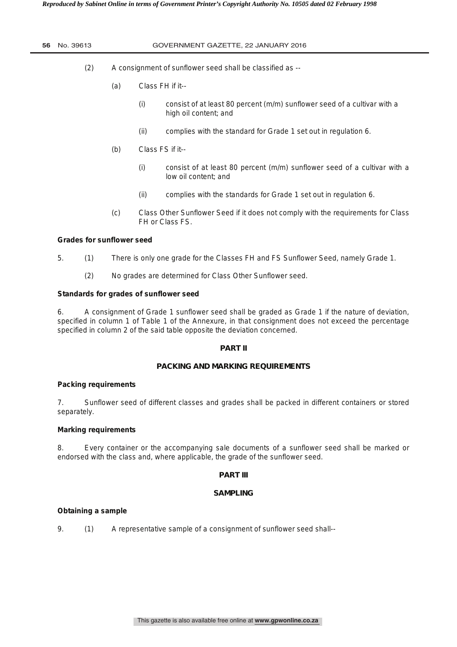## **56** No. 39613 GOVERNMENT GAZETTE, 22 JANUARY 2016

- (2) A consignment of sunflower seed shall be classified as --
	- (a) Class FH if it--
		- (i) consist of at least 80 percent (m/m) sunflower seed of a cultivar with a high oil content; and
		- (ii) complies with the standard for Grade 1 set out in regulation 6.
	- (b) Class FS if it--
		- (i) consist of at least 80 percent  $(m/m)$  sunflower seed of a cultivar with a low oil content; and
		- (ii) complies with the standards for Grade 1 set out in regulation 6.
	- (c) Class Other Sunflower Seed if it does not comply with the requirements for Class FH or Class FS.

# *Grades for sunflower seed*

- 5. (1) There is only one grade for the Classes FH and FS Sunflower Seed, namely Grade 1.
	- (2) No grades are determined for Class Other Sunflower seed.

# *Standards for grades of sunflower seed*

6. A consignment of Grade 1 sunflower seed shall be graded as Grade 1 if the nature of deviation, specified in column 1 of Table 1 of the Annexure, in that consignment does not exceed the percentage specified in column 2 of the said table opposite the deviation concerned.

## **PART II**

# **PACKING AND MARKING REQUIREMENTS**

## *Packing requirements*

7. Sunflower seed of different classes and grades shall be packed in different containers or stored separately.

# *Marking requirements*

8. Every container or the accompanying sale documents of a sunflower seed shall be marked or endorsed with the class and, where applicable, the grade of the sunflower seed.

# **PART III**

## **SAMPLING**

# *Obtaining a sample*

9. (1) A representative sample of a consignment of sunflower seed shall--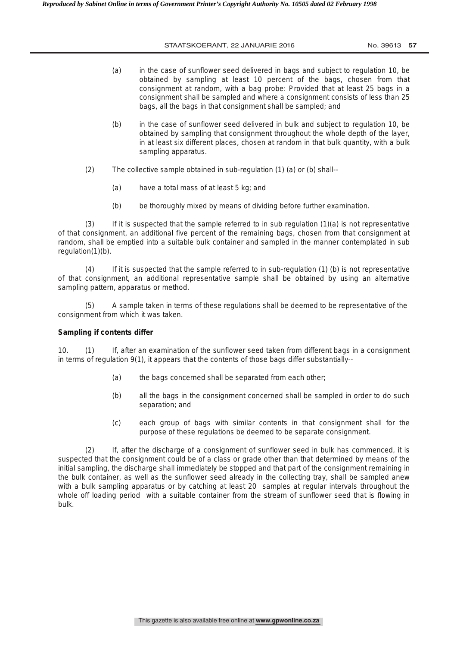- (a) in the case of sunflower seed delivered in bags and subject to regulation 10, be obtained by sampling at least 10 percent of the bags, chosen from that consignment at random, with a bag probe: Provided that at least 25 bags in a consignment shall be sampled and where a consignment consists of less than 25 bags, all the bags in that consignment shall be sampled; and
- (b) in the case of sunflower seed delivered in bulk and subject to regulation 10, be obtained by sampling that consignment throughout the whole depth of the layer, in at least six different places, chosen at random in that bulk quantity, with a bulk sampling apparatus.
- (2) The collective sample obtained in sub-regulation (1) (a) or (b) shall--
	- (a) have a total mass of at least 5 kg; and
	- (b) be thoroughly mixed by means of dividing before further examination.

 $(3)$  If it is suspected that the sample referred to in sub regulation  $(1)(a)$  is not representative of that consignment, an additional five percent of the remaining bags, chosen from that consignment at random, shall be emptied into a suitable bulk container and sampled in the manner contemplated in sub regulation(1)(b).

(4) If it is suspected that the sample referred to in sub-regulation (1) (b) is not representative of that consignment, an additional representative sample shall be obtained by using an alternative sampling pattern, apparatus or method.

A sample taken in terms of these regulations shall be deemed to be representative of the consignment from which it was taken.

## *Sampling if contents differ*

10. (1) If, after an examination of the sunflower seed taken from different bags in a consignment in terms of regulation 9(1), it appears that the contents of those bags differ substantially--

- (a) the bags concerned shall be separated from each other;
- (b) all the bags in the consignment concerned shall be sampled in order to do such separation; and
- (c) each group of bags with similar contents in that consignment shall for the purpose of these regulations be deemed to be separate consignment.

(2) If, after the discharge of a consignment of sunflower seed in bulk has commenced, it is suspected that the consignment could be of a class or grade other than that determined by means of the initial sampling, the discharge shall immediately be stopped and that part of the consignment remaining in the bulk container, as well as the sunflower seed already in the collecting tray, shall be sampled anew with a bulk sampling apparatus or by catching at least 20 samples at regular intervals throughout the whole off loading period with a suitable container from the stream of sunflower seed that is flowing in bulk.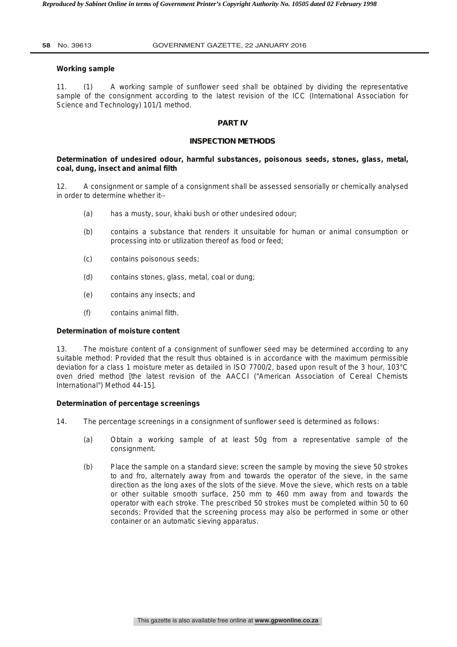## *Working sample*

11. (1) A working sample of sunflower seed shall be obtained by dividing the representative sample of the consignment according to the latest revision of the ICC (International Association for Science and Technology) 101/1 method.

## **PART IV**

## **INSPECTION METHODS**

# *Determination of undesired odour, harmful substances, poisonous seeds, stones, glass, metal, coal, dung, insect and animal filth*

12. A consignment or sample of a consignment shall be assessed sensorially or chemically analysed in order to determine whether it--

- (a) has a musty, sour, khaki bush or other undesired odour;
- (b) contains a substance that renders it unsuitable for human or animal consumption or processing into or utilization thereof as food or feed;
- (c) contains poisonous seeds;
- (d) contains stones, glass, metal, coal or dung;
- (e) contains any insects; and
- (f) contains animal filth.

## *Determination of moisture content*

13. The moisture content of a consignment of sunflower seed may be determined according to any suitable method: Provided that the result thus obtained is in accordance with the maximum permissible deviation for a class 1 moisture meter as detailed in ISO 7700/2, based upon result of the 3 hour, 103°C oven dried method [the latest revision of the AACCI ("American Association of Cereal Chemists International") Method 44-15].

## *Determination of percentage screenings*

14. The percentage screenings in a consignment of sunflower seed is determined as follows:

- (a) Obtain a working sample of at least 50g from a representative sample of the consignment.
- (b) Place the sample on a standard sieve; screen the sample by moving the sieve 50 strokes to and fro, alternately away from and towards the operator of the sieve, in the same direction as the long axes of the slots of the sieve. Move the sieve, which rests on a table or other suitable smooth surface, 250 mm to 460 mm away from and towards the operator with each stroke. The prescribed 50 strokes must be completed within 50 to 60 seconds: Provided that the screening process may also be performed in some or other container or an automatic sieving apparatus.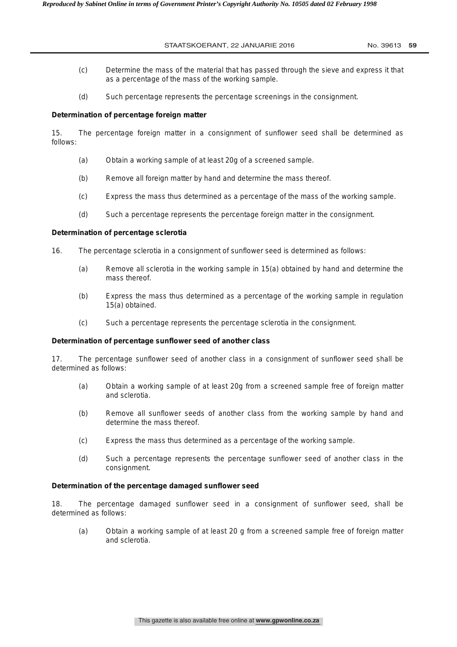- (c) Determine the mass of the material that has passed through the sieve and express it that as a percentage of the mass of the working sample.
- (d) Such percentage represents the percentage screenings in the consignment.

# *Determination of percentage foreign matter*

15. The percentage foreign matter in a consignment of sunflower seed shall be determined as follows:

- (a) Obtain a working sample of at least 20g of a screened sample.
- (b) Remove all foreign matter by hand and determine the mass thereof.
- (c) Express the mass thus determined as a percentage of the mass of the working sample.
- (d) Such a percentage represents the percentage foreign matter in the consignment.

# *Determination of percentage sclerotia*

- 16. The percentage sclerotia in a consignment of sunflower seed is determined as follows:
	- (a) Remove all sclerotia in the working sample in 15(a) obtained by hand and determine the mass thereof.
	- (b) Express the mass thus determined as a percentage of the working sample in regulation 15(a) obtained.
	- (c) Such a percentage represents the percentage sclerotia in the consignment.

# *Determination of percentage sunflower seed of another class*

17. The percentage sunflower seed of another class in a consignment of sunflower seed shall be determined as follows:

- (a) Obtain a working sample of at least 20g from a screened sample free of foreign matter and sclerotia.
- (b) Remove all sunflower seeds of another class from the working sample by hand and determine the mass thereof.
- (c) Express the mass thus determined as a percentage of the working sample.
- (d) Such a percentage represents the percentage sunflower seed of another class in the consignment.

# *Determination of the percentage damaged sunflower seed*

18. The percentage damaged sunflower seed in a consignment of sunflower seed, shall be determined as follows:

(a) Obtain a working sample of at least 20 g from a screened sample free of foreign matter and sclerotia.